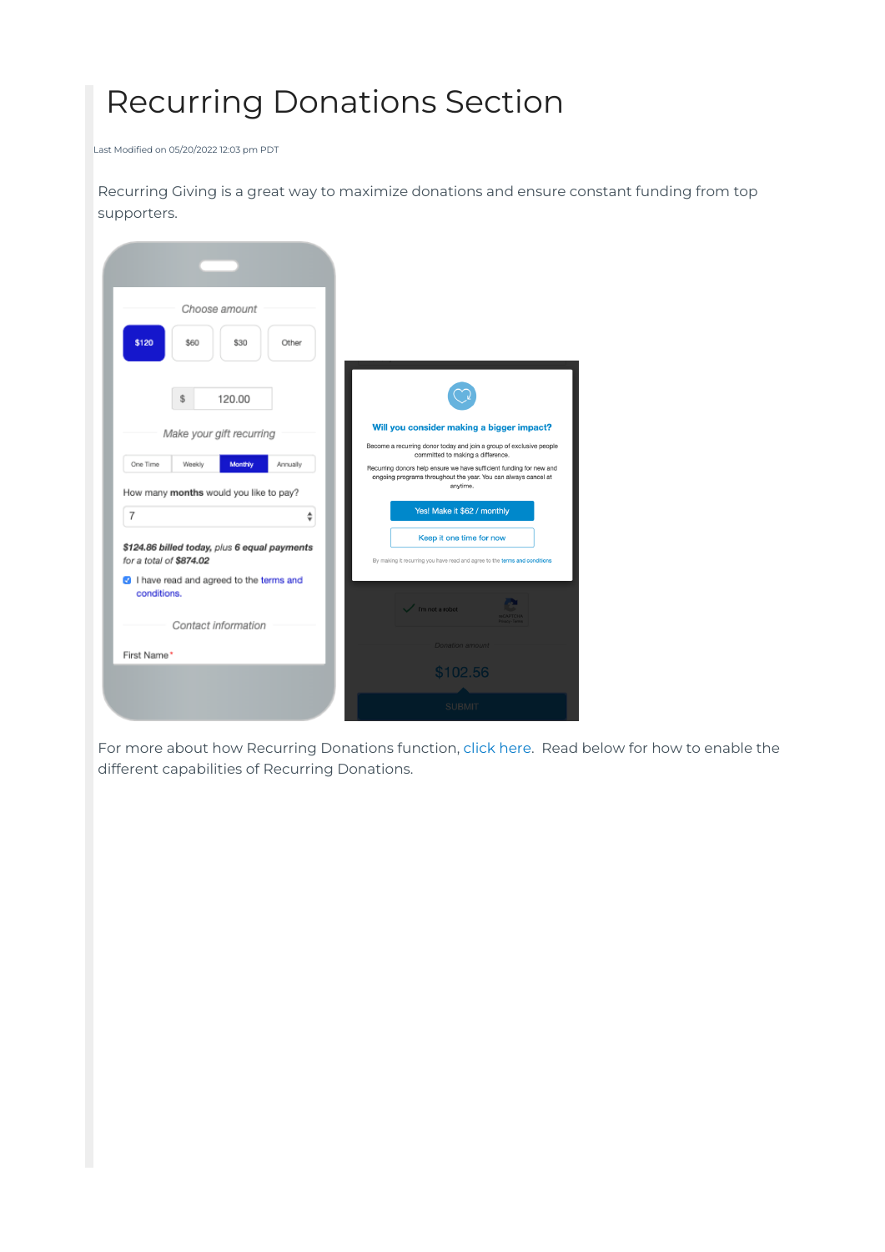# Recurring Donations Section

Last Modified on 05/20/2022 12:03 pm PDT

Recurring Giving is a great way to maximize donations and ensure constant funding from top supporters.



For more about how Recurring Donations function, [click](http://support.mobilecause.com/help/recurring-giving) here. Read below for how to enable the different capabilities of Recurring Donations.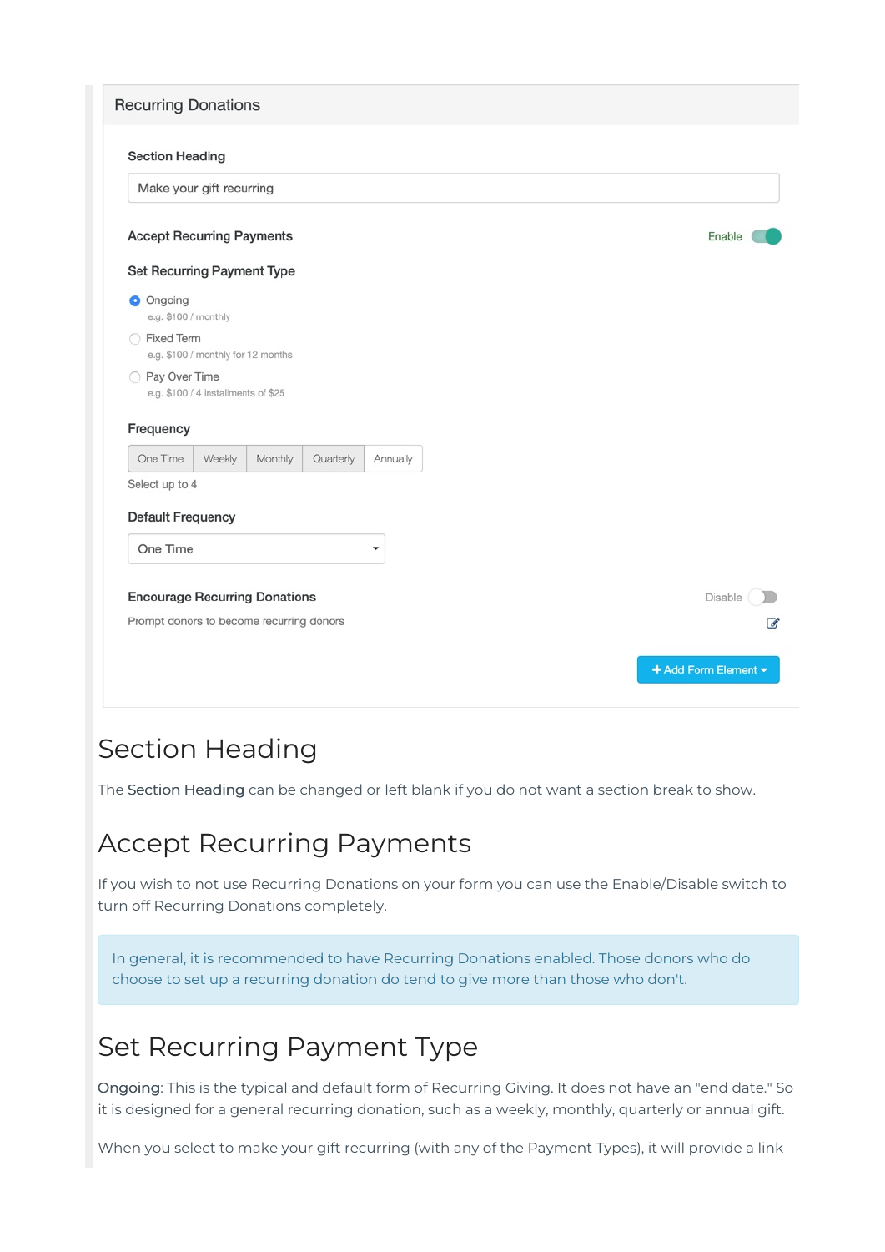| <b>Recurring Donations</b>               |                                     |         |           |          |                          |
|------------------------------------------|-------------------------------------|---------|-----------|----------|--------------------------|
| <b>Section Heading</b>                   |                                     |         |           |          |                          |
| Make your gift recurring                 |                                     |         |           |          |                          |
| <b>Accept Recurring Payments</b>         |                                     |         |           |          | Enable                   |
| Set Recurring Payment Type               |                                     |         |           |          |                          |
| O Ongoing<br>e.g. \$100 / monthly        |                                     |         |           |          |                          |
| ◯ Fixed Term                             | e.g. \$100 / monthly for 12 months  |         |           |          |                          |
| ◯ Pay Over Time                          | e.g. \$100 / 4 installments of \$25 |         |           |          |                          |
| Frequency                                |                                     |         |           |          |                          |
| One Time                                 | Weekly                              | Monthly | Quarterly | Annually |                          |
| Select up to 4                           |                                     |         |           |          |                          |
| <b>Default Frequency</b>                 |                                     |         |           |          |                          |
| One Time                                 |                                     |         |           | ▼        |                          |
| <b>Encourage Recurring Donations</b>     |                                     |         |           |          | Disable                  |
| Prompt donors to become recurring donors |                                     |         |           |          | $\overline{\mathscr{L}}$ |
|                                          |                                     |         |           |          |                          |
|                                          |                                     |         |           |          |                          |

#### Section Heading

The Section Heading can be changed or left blank if you do not want a section break to show.

#### Accept Recurring Payments

If you wish to not use Recurring Donations on your form you can use the Enable/Disable switch to turn off Recurring Donations completely.

In general, it is recommended to have Recurring Donations enabled. Those donors who do choose to set up a recurring donation do tend to give more than those who don't.

## Set Recurring Payment Type

Ongoing: This is the typical and default form of Recurring Giving. It does not have an "end date." So it is designed for a general recurring donation, such as a weekly, monthly, quarterly or annual gift.

When you select to make your gift recurring (with any of the Payment Types), it will provide a link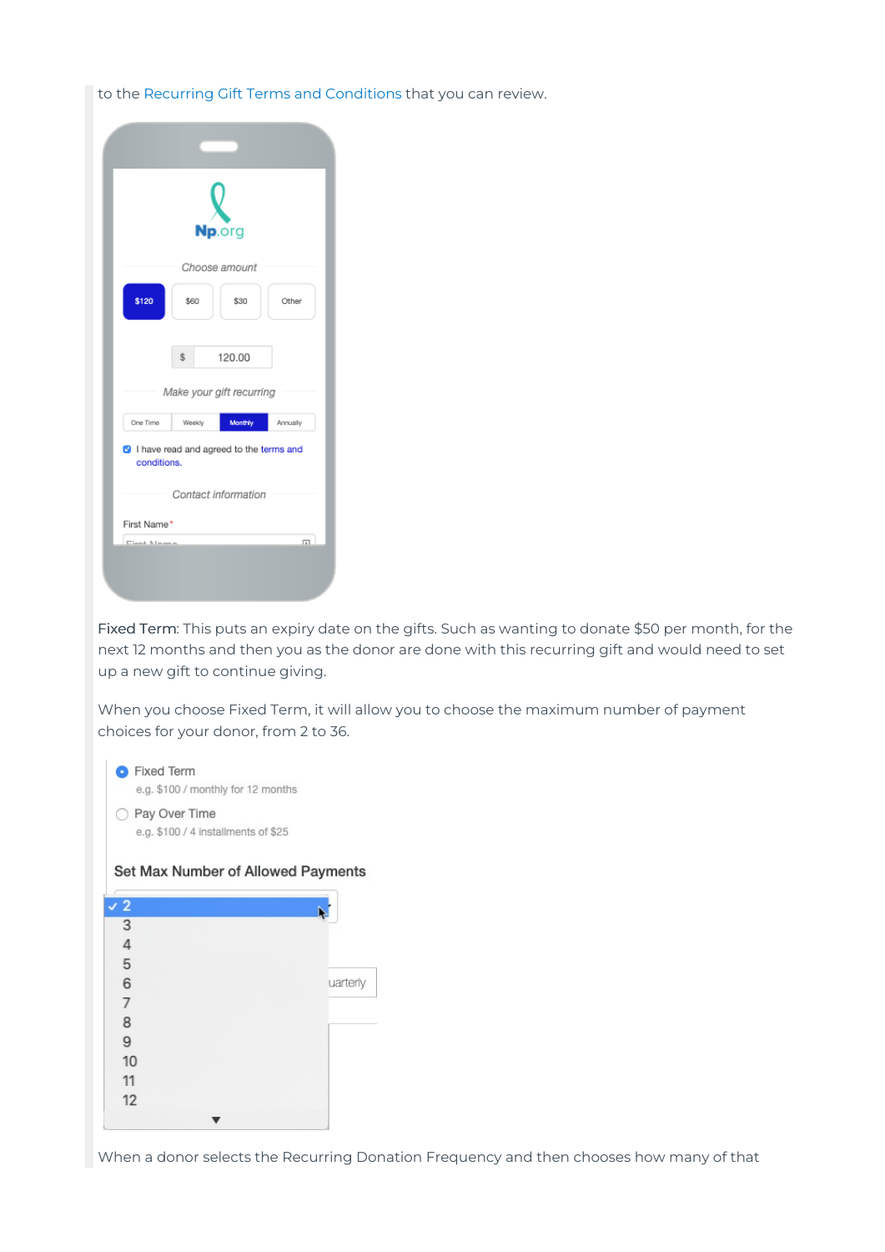to the Recurring Gift Terms and [Conditions](https://www.mobilecause.com/recurring-terms/) that you can review.

|                                                        |                          | Np.org<br>Choose amount |          |
|--------------------------------------------------------|--------------------------|-------------------------|----------|
| \$120                                                  | \$60                     | \$30                    | Other    |
|                                                        | \$                       | 120.00                  |          |
|                                                        | Make your gift recurring |                         |          |
| One Time                                               | Weekly                   | Monthly                 | Annually |
| I have read and agreed to the terms and<br>conditions. |                          |                         |          |
|                                                        | Contact information      |                         |          |
| First Name*                                            |                          |                         |          |
| Eiget Magaz                                            |                          |                         | 冚        |
|                                                        |                          |                         |          |
|                                                        |                          |                         |          |

Fixed Term: This puts an expiry date on the gifts. Such as wanting to donate \$50 per month, for the next 12 months and then you as the donor are done with this recurring gift and would need to set up a new gift to continue giving.

When you choose Fixed Term, it will allow you to choose the maximum number of payment choices for your donor, from 2 to 36.

| <b>Fixed Term</b><br>e.g. \$100 / monthly for 12 months |
|---------------------------------------------------------|
| Pay Over Time<br>e.g. \$100 / 4 installments of \$25    |
| Set Max Number of Allowed Payments                      |
|                                                         |

|         |  | uarterly |
|---------|--|----------|
|         |  |          |
| 3456789 |  |          |
|         |  |          |
| 10      |  |          |
| 11      |  |          |
| 12      |  |          |
|         |  |          |
|         |  |          |

When a donor selects the Recurring Donation Frequency and then chooses how many of that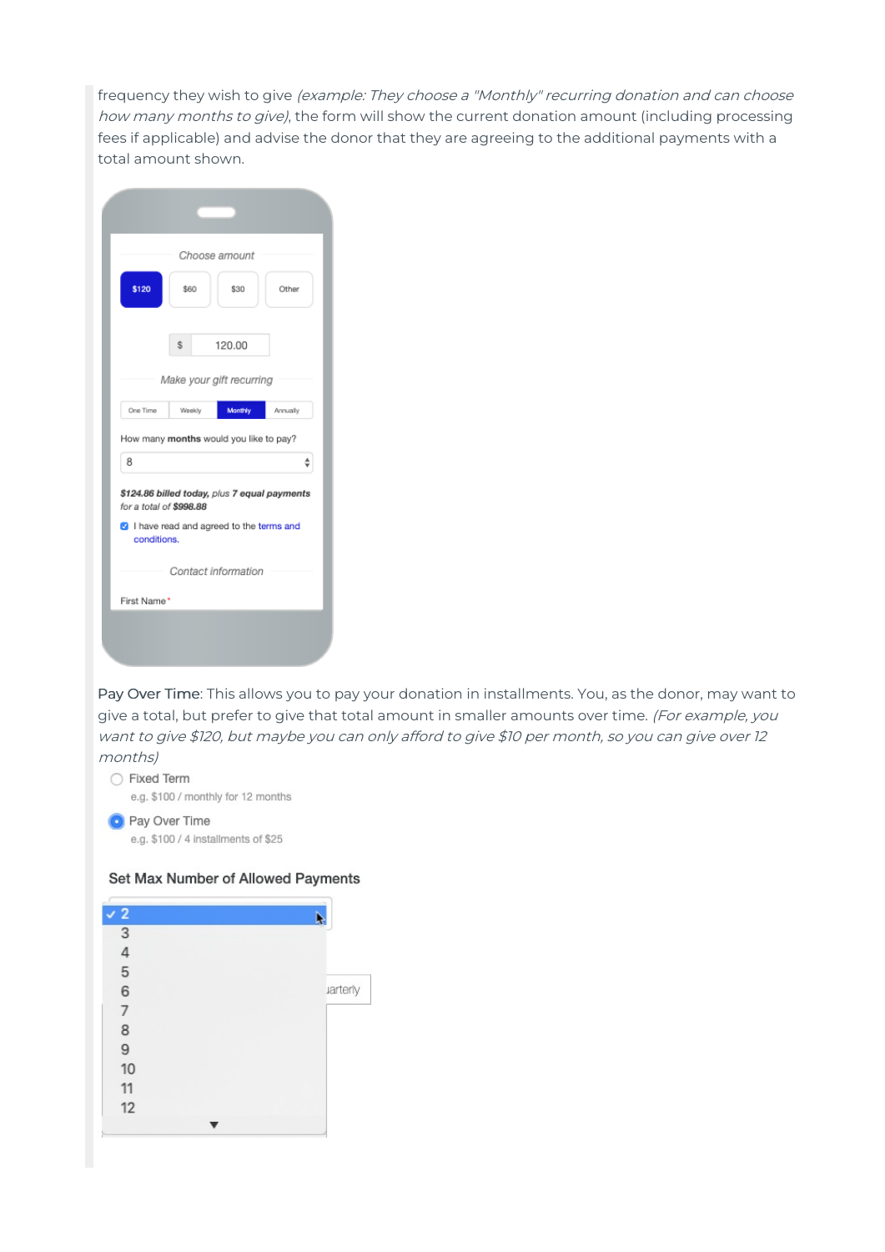frequency they wish to give (example: They choose a "Monthly" recurring donation and can choose how many months to give), the form will show the current donation amount (including processing fees if applicable) and advise the donor that they are agreeing to the additional payments with a total amount shown.

|                         | Choose amount                                                                           |          |
|-------------------------|-----------------------------------------------------------------------------------------|----------|
| \$120                   | \$60<br>\$30                                                                            | Other    |
|                         | \$<br>120.00                                                                            |          |
|                         | Make your gift recurring                                                                |          |
| One Time                | Monthly<br>Weekly                                                                       | Annually |
|                         |                                                                                         |          |
| 8                       | How many months would you like to pay?                                                  |          |
| for a total of \$998.88 | \$124.86 billed today, plus 7 equal payments<br>I have read and agreed to the terms and |          |
| conditions.             | Contact information                                                                     |          |

Pay Over Time: This allows you to pay your donation in installments. You, as the donor, may want to give a total, but prefer to give that total amount in smaller amounts over time. (For example, you want to give \$120, but maybe you can only afford to give \$10 per month, so you can give over <sup>12</sup> months)

#### ○ Fixed Term e.g. \$100 / monthly for 12 months **O** Pay Over Time

e.g. \$100 / 4 installments of \$25

#### Set Max Number of Allowed Payments

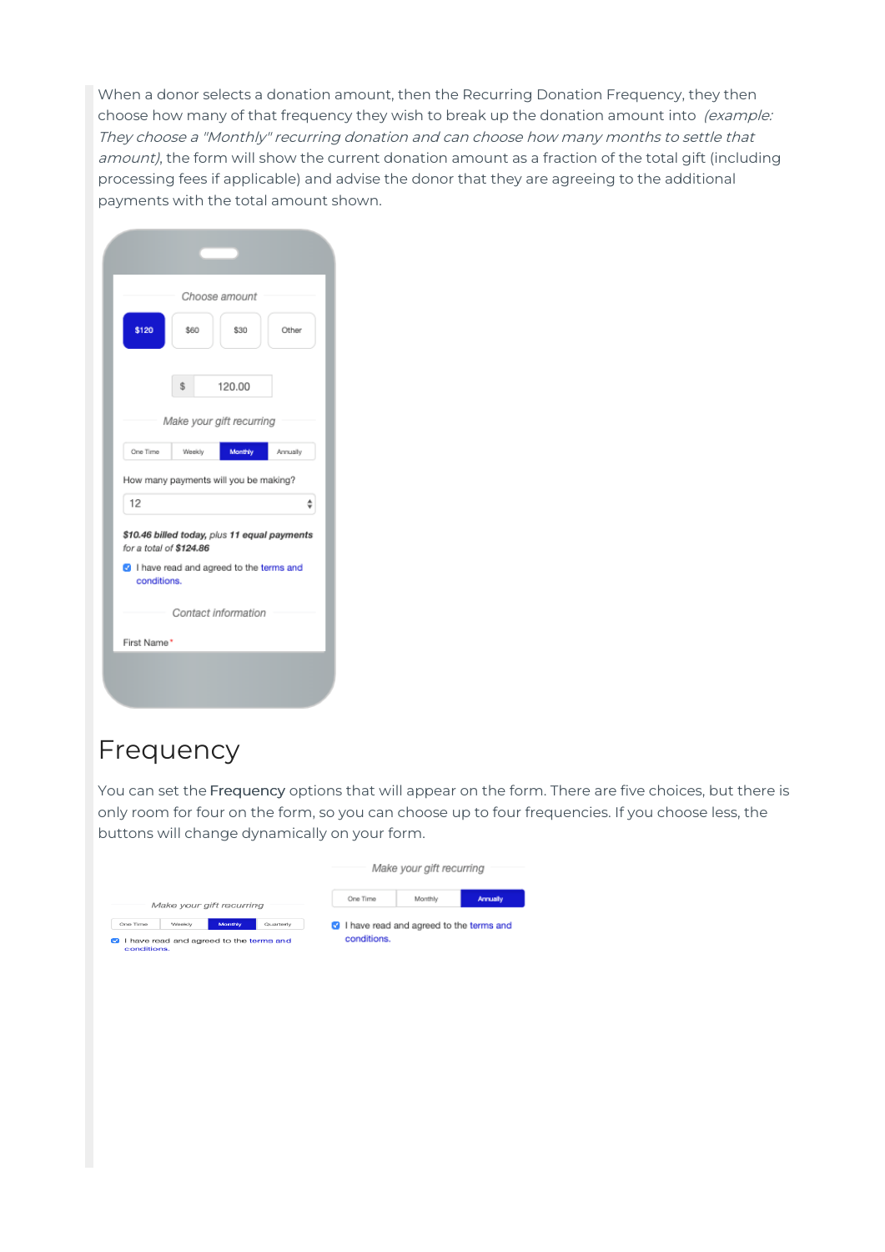When a donor selects a donation amount, then the Recurring Donation Frequency, they then choose how many of that frequency they wish to break up the donation amount into (example: They choose <sup>a</sup> "Monthly" recurring donation and can choose how many months to settle that amount), the form will show the current donation amount as a fraction of the total gift (including processing fees if applicable) and advise the donor that they are agreeing to the additional payments with the total amount shown.

|                                        |        | Choose amount                                                                         |          |
|----------------------------------------|--------|---------------------------------------------------------------------------------------|----------|
| \$120                                  | \$60   | \$30                                                                                  | Other    |
|                                        | \$     | 120.00                                                                                |          |
|                                        |        | Make your gift recurring                                                              |          |
|                                        |        |                                                                                       |          |
| One Time                               | Weekly | Monthly                                                                               | Annually |
| 12                                     |        | How many payments will you be making?<br>\$10.46 billed today, plus 11 equal payments |          |
| for a total of \$124.86<br>conditions. |        | <sup>3</sup> I have read and agreed to the terms and                                  |          |
|                                        |        | Contact information                                                                   |          |

#### Frequency

You can set the Frequency options that will appear on the form. There are five choices, but there is only room for four on the form, so you can choose up to four frequencies. If you choose less, the buttons will change dynamically on your form.

|                          |        |                                         |           |                                                  | Make your gift recurring |                 |
|--------------------------|--------|-----------------------------------------|-----------|--------------------------------------------------|--------------------------|-----------------|
|                          |        | Make your gift recurring                |           | One Time                                         | Monthly                  | <b>Annually</b> |
| One Time                 | Weekly | Monthly                                 | Quarterly | <b>3</b> I have read and agreed to the terms and |                          |                 |
| <b>CO</b><br>conditions. |        | I have read and agreed to the terms and |           | conditions.                                      |                          |                 |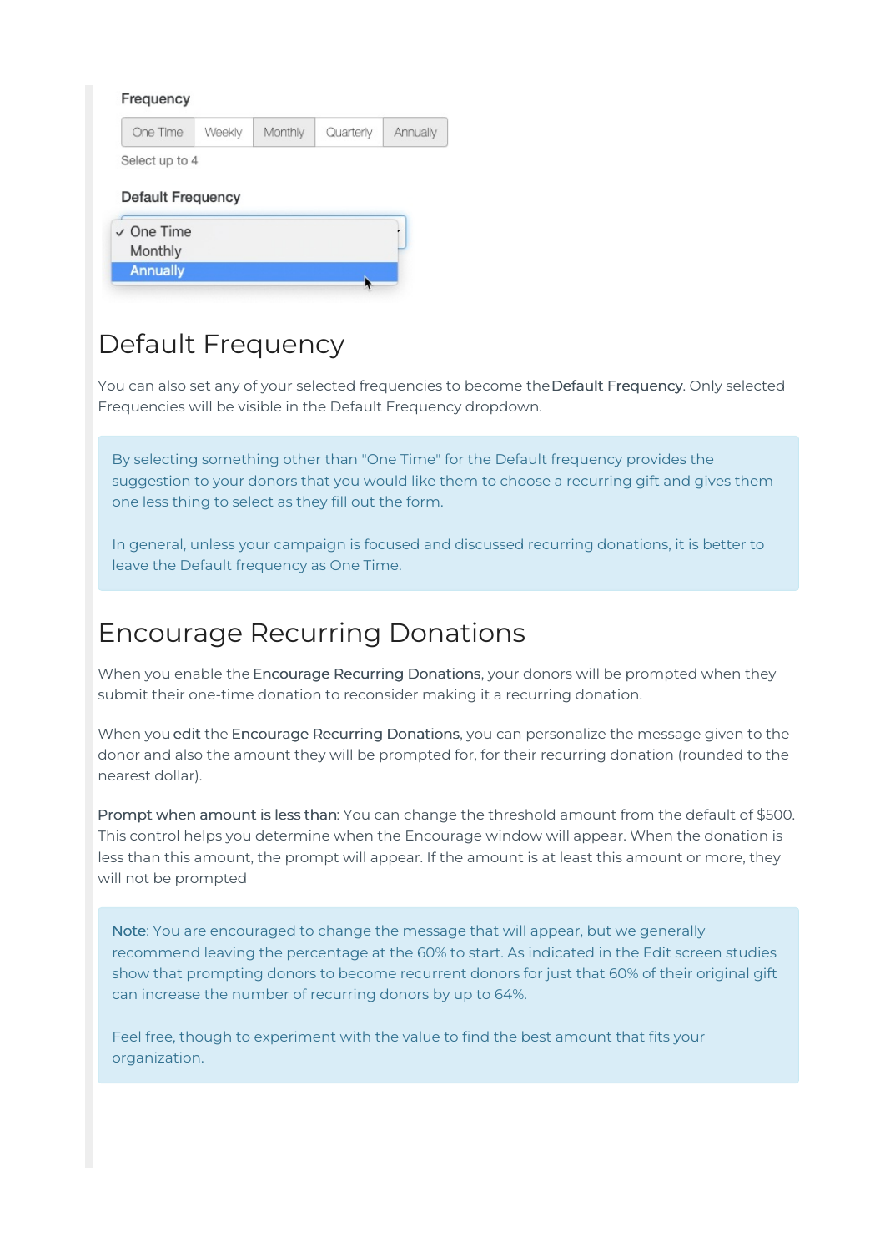| One Time          | Weekly | Monthly | Quarterly | Annually |
|-------------------|--------|---------|-----------|----------|
| Select up to 4    |        |         |           |          |
|                   |        |         |           |          |
|                   |        |         |           |          |
| Default Frequency |        |         |           |          |
| $\vee$ One Time   |        |         |           |          |
| Monthly           |        |         |           |          |

### Default Frequency

You can also set any of your selected frequencies to become the Default Frequency. Only selected Frequencies will be visible in the Default Frequency dropdown.

By selecting something other than "One Time" for the Default frequency provides the suggestion to your donors that you would like them to choose a recurring gift and gives them one less thing to select as they fill out the form.

In general, unless your campaign is focused and discussed recurring donations, it is better to leave the Default frequency as One Time.

### Encourage Recurring Donations

When you enable the Encourage Recurring Donations, your donors will be prompted when they submit their one-time donation to reconsider making it a recurring donation.

When you edit the Encourage Recurring Donations, you can personalize the message given to the donor and also the amount they will be prompted for, for their recurring donation (rounded to the nearest dollar).

Prompt when amount is less than: You can change the threshold amount from the default of \$500. This control helps you determine when the Encourage window will appear. When the donation is less than this amount, the prompt will appear. If the amount is at least this amount or more, they will not be prompted

Note: You are encouraged to change the message that will appear, but we generally recommend leaving the percentage at the 60% to start. As indicated in the Edit screen studies show that prompting donors to become recurrent donors for just that 60% of their original gift can increase the number of recurring donors by up to 64%.

Feel free, though to experiment with the value to find the best amount that fits your organization.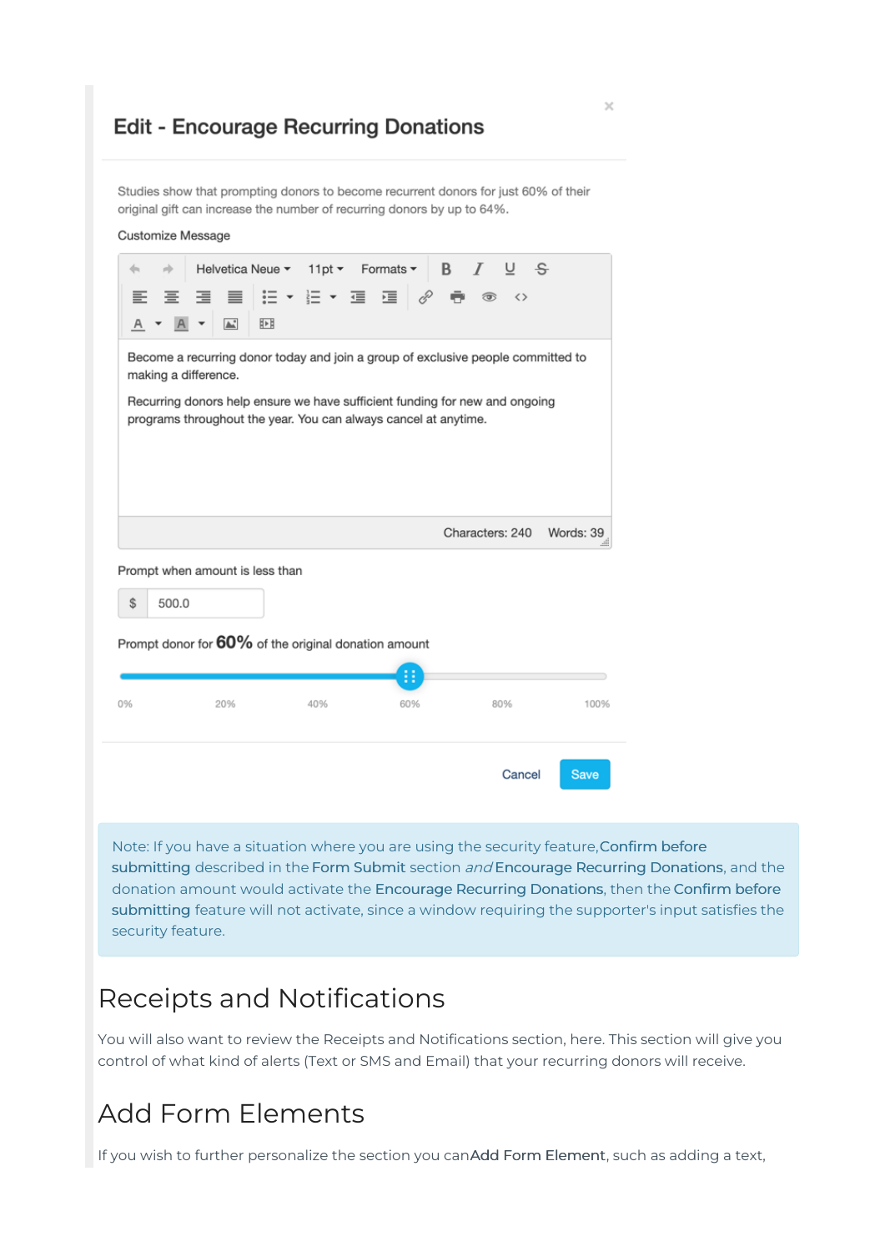#### **Edit - Encourage Recurring Donations**

Studies show that prompting donors to become recurrent donors for just 60% of their original gift can increase the number of recurring donors by up to 64%.

| Customize Message |                                                                                                                                                                                                                                                            |                                   |          |                 |                                     |
|-------------------|------------------------------------------------------------------------------------------------------------------------------------------------------------------------------------------------------------------------------------------------------------|-----------------------------------|----------|-----------------|-------------------------------------|
| 65<br>ster.       |                                                                                                                                                                                                                                                            | Helvetica Neue ▼ 11pt ▼ Formats ▼ |          | $B$ $I$ $U$ $S$ |                                     |
| ≕<br>품            | ≣.<br>⋷                                                                                                                                                                                                                                                    |                                   |          |                 |                                     |
| A                 | $\mathbb{A}^*$<br>胢                                                                                                                                                                                                                                        |                                   |          |                 |                                     |
|                   | Become a recurring donor today and join a group of exclusive people committed to<br>making a difference.<br>Recurring donors help ensure we have sufficient funding for new and ongoing<br>programs throughout the year. You can always cancel at anytime. |                                   |          |                 |                                     |
|                   |                                                                                                                                                                                                                                                            |                                   |          |                 |                                     |
|                   | Prompt when amount is less than                                                                                                                                                                                                                            |                                   |          | Characters: 240 |                                     |
| \$                | 500.0                                                                                                                                                                                                                                                      |                                   |          |                 |                                     |
| 0%                | Prompt donor for 60% of the original donation amount<br>20%                                                                                                                                                                                                | 40%                               | B<br>60% | 80%             | Words: 39<br>$\mathbb{R}^n$<br>100% |

Note: If you have a situation where you are using the security feature,Confirm before submitting described in the Form Submit section and Encourage Recurring Donations, and the donation amount would activate the Encourage Recurring Donations, then the Confirm before submitting feature will not activate, since a window requiring the supporter's input satisfies the security feature.

#### Receipts and Notifications

You will also want to review the Receipts and Notifications section, here. This section will give you control of what kind of alerts (Text or SMS and Email) that your recurring donors will receive.

#### Add Form Elements

If you wish to further personalize the section you canAdd Form Element, such as adding a text,